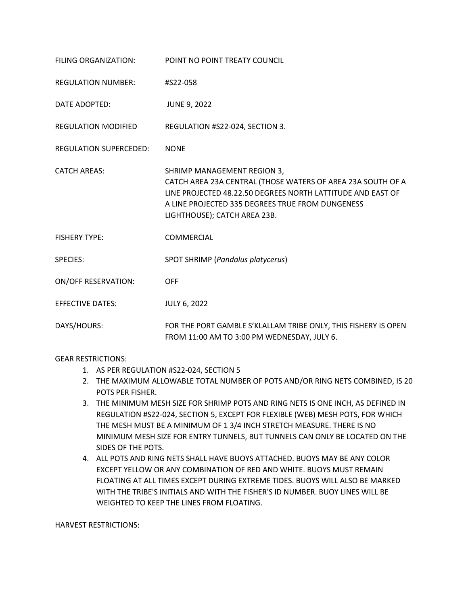| FILING ORGANIZATION:          | POINT NO POINT TREATY COUNCIL                                                                                                                                                                                                                 |
|-------------------------------|-----------------------------------------------------------------------------------------------------------------------------------------------------------------------------------------------------------------------------------------------|
| <b>REGULATION NUMBER:</b>     | #S22-058                                                                                                                                                                                                                                      |
| DATE ADOPTED:                 | <b>JUNE 9, 2022</b>                                                                                                                                                                                                                           |
| <b>REGULATION MODIFIED</b>    | REGULATION #S22-024, SECTION 3.                                                                                                                                                                                                               |
| <b>REGULATION SUPERCEDED:</b> | <b>NONE</b>                                                                                                                                                                                                                                   |
| <b>CATCH AREAS:</b>           | SHRIMP MANAGEMENT REGION 3,<br>CATCH AREA 23A CENTRAL (THOSE WATERS OF AREA 23A SOUTH OF A<br>LINE PROJECTED 48.22.50 DEGREES NORTH LATTITUDE AND EAST OF<br>A LINE PROJECTED 335 DEGREES TRUE FROM DUNGENESS<br>LIGHTHOUSE); CATCH AREA 23B. |
| <b>FISHERY TYPE:</b>          | <b>COMMERCIAL</b>                                                                                                                                                                                                                             |
| <b>SPECIES:</b>               | SPOT SHRIMP (Pandalus platycerus)                                                                                                                                                                                                             |
| <b>ON/OFF RESERVATION:</b>    | <b>OFF</b>                                                                                                                                                                                                                                    |
| <b>EFFECTIVE DATES:</b>       | <b>JULY 6, 2022</b>                                                                                                                                                                                                                           |
| DAYS/HOURS:                   | FOR THE PORT GAMBLE S'KLALLAM TRIBE ONLY, THIS FISHERY IS OPEN<br>FROM 11:00 AM TO 3:00 PM WEDNESDAY, JULY 6.                                                                                                                                 |

## GEAR RESTRICTIONS:

- 1. AS PER REGULATION #S22-024, SECTION 5
- 2. THE MAXIMUM ALLOWABLE TOTAL NUMBER OF POTS AND/OR RING NETS COMBINED, IS 20 POTS PER FISHER.
- 3. THE MINIMUM MESH SIZE FOR SHRIMP POTS AND RING NETS IS ONE INCH, AS DEFINED IN REGULATION #S22-024, SECTION 5, EXCEPT FOR FLEXIBLE (WEB) MESH POTS, FOR WHICH THE MESH MUST BE A MINIMUM OF 1 3/4 INCH STRETCH MEASURE. THERE IS NO MINIMUM MESH SIZE FOR ENTRY TUNNELS, BUT TUNNELS CAN ONLY BE LOCATED ON THE SIDES OF THE POTS.
- 4. ALL POTS AND RING NETS SHALL HAVE BUOYS ATTACHED. BUOYS MAY BE ANY COLOR EXCEPT YELLOW OR ANY COMBINATION OF RED AND WHITE. BUOYS MUST REMAIN FLOATING AT ALL TIMES EXCEPT DURING EXTREME TIDES. BUOYS WILL ALSO BE MARKED WITH THE TRIBE'S INITIALS AND WITH THE FISHER'S ID NUMBER. BUOY LINES WILL BE WEIGHTED TO KEEP THE LINES FROM FLOATING.

HARVEST RESTRICTIONS: